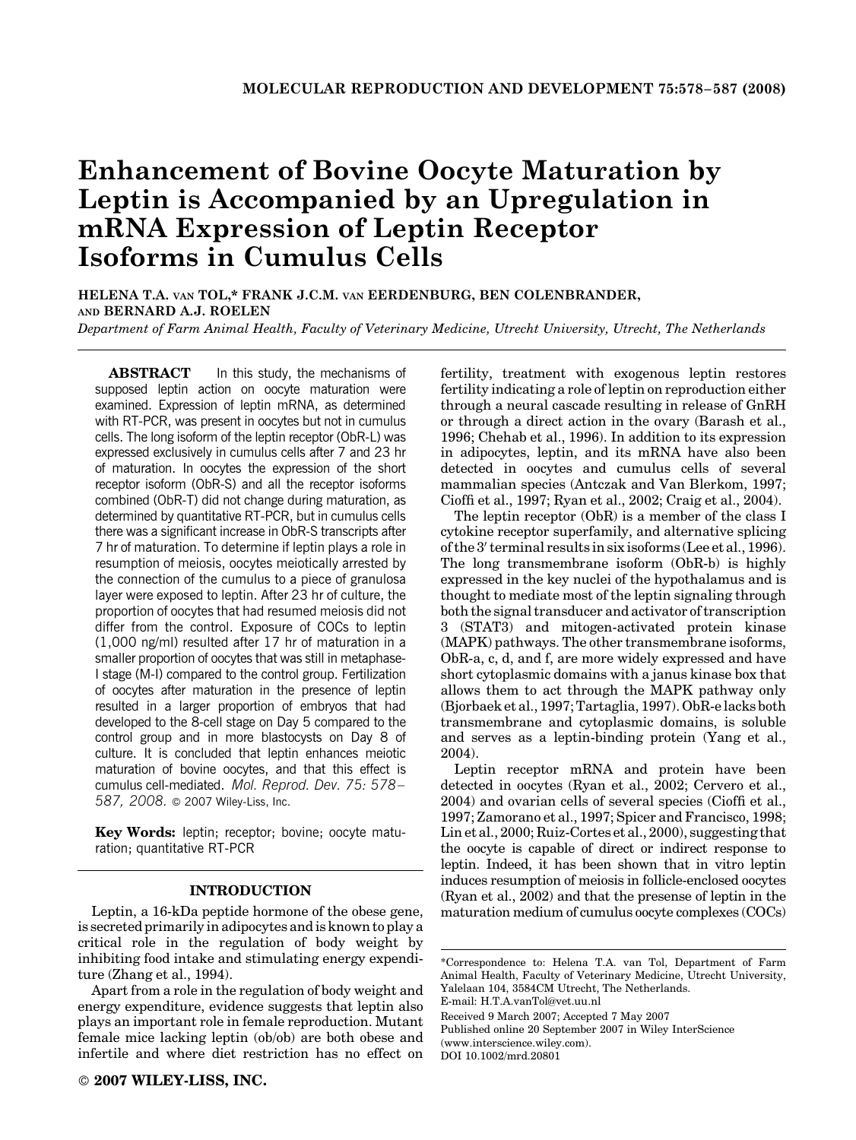# Enhancement of Bovine Oocyte Maturation by Leptin is Accompanied by an Upregulation in mRNA Expression of Leptin Receptor Isoforms in Cumulus Cells

HELENA T.A. VAN TOL,\* FRANK J.C.M. VAN EERDENBURG, BEN COLENBRANDER, AND BERNARD A.J. ROELEN

Department of Farm Animal Health, Faculty of Veterinary Medicine, Utrecht University, Utrecht, The Netherlands

**ABSTRACT** In this study, the mechanisms of supposed leptin action on oocyte maturation were examined. Expression of leptin mRNA, as determined with RT-PCR, was present in oocytes but not in cumulus cells. The long isoform of the leptin receptor (ObR-L) was expressed exclusively in cumulus cells after 7 and 23 hr of maturation. In oocytes the expression of the short receptor isoform (ObR-S) and all the receptor isoforms combined (ObR-T) did not change during maturation, as determined by quantitative RT-PCR, but in cumulus cells there was a significant increase in ObR-S transcripts after 7 hr of maturation. To determine if leptin plays a role in resumption of meiosis, oocytes meiotically arrested by the connection of the cumulus to a piece of granulosa layer were exposed to leptin. After 23 hr of culture, the proportion of oocytes that had resumed meiosis did not differ from the control. Exposure of COCs to leptin (1,000 ng/ml) resulted after 17 hr of maturation in a smaller proportion of oocytes that was still in metaphase-I stage (M-I) compared to the control group. Fertilization of oocytes after maturation in the presence of leptin resulted in a larger proportion of embryos that had developed to the 8-cell stage on Day 5 compared to the control group and in more blastocysts on Day 8 of culture. It is concluded that leptin enhances meiotic maturation of bovine oocytes, and that this effect is cumulus cell-mediated. Mol. Reprod. Dev. 75: 578– 587, 2008. © 2007 Wiley-Liss, Inc.

Key Words: leptin; receptor; bovine; oocyte maturation; quantitative RT-PCR

#### INTRODUCTION

Leptin, a 16-kDa peptide hormone of the obese gene, is secreted primarily in adipocytes and is known to play a critical role in the regulation of body weight by inhibiting food intake and stimulating energy expenditure (Zhang et al., 1994).

Apart from a role in the regulation of body weight and energy expenditure, evidence suggests that leptin also plays an important role in female reproduction. Mutant female mice lacking leptin (ob/ob) are both obese and infertile and where diet restriction has no effect on fertility, treatment with exogenous leptin restores fertility indicating a role of leptin on reproduction either through a neural cascade resulting in release of GnRH or through a direct action in the ovary (Barash et al., 1996; Chehab et al., 1996). In addition to its expression in adipocytes, leptin, and its mRNA have also been detected in oocytes and cumulus cells of several mammalian species (Antczak and Van Blerkom, 1997; Cioffi et al., 1997; Ryan et al., 2002; Craig et al., 2004).

The leptin receptor (ObR) is a member of the class I cytokine receptor superfamily, and alternative splicing of the  $3'$  terminal results in six isoforms (Lee et al., 1996). The long transmembrane isoform (ObR-b) is highly expressed in the key nuclei of the hypothalamus and is thought to mediate most of the leptin signaling through both the signal transducer and activator of transcription 3 (STAT3) and mitogen-activated protein kinase (MAPK) pathways. The other transmembrane isoforms, ObR-a, c, d, and f, are more widely expressed and have short cytoplasmic domains with a janus kinase box that allows them to act through the MAPK pathway only (Bjorbaek et al., 1997; Tartaglia, 1997). ObR-e lacks both transmembrane and cytoplasmic domains, is soluble and serves as a leptin-binding protein (Yang et al., 2004).

Leptin receptor mRNA and protein have been detected in oocytes (Ryan et al., 2002; Cervero et al., 2004) and ovarian cells of several species (Cioffi et al., 1997; Zamorano et al., 1997; Spicer and Francisco, 1998; Lin et al., 2000; Ruiz-Cortes et al., 2000), suggesting that the oocyte is capable of direct or indirect response to leptin. Indeed, it has been shown that in vitro leptin induces resumption of meiosis in follicle-enclosed oocytes (Ryan et al., 2002) and that the presense of leptin in the maturation medium of cumulus oocyte complexes (COCs)

Received 9 March 2007; Accepted 7 May 2007 Published online 20 September 2007 in Wiley InterScience (www.interscience.wiley.com). DOI 10.1002/mrd.20801

<sup>\*</sup>Correspondence to: Helena T.A. van Tol, Department of Farm Animal Health, Faculty of Veterinary Medicine, Utrecht University, Yalelaan 104, 3584CM Utrecht, The Netherlands. E-mail: H.T.A.vanTol@vet.uu.nl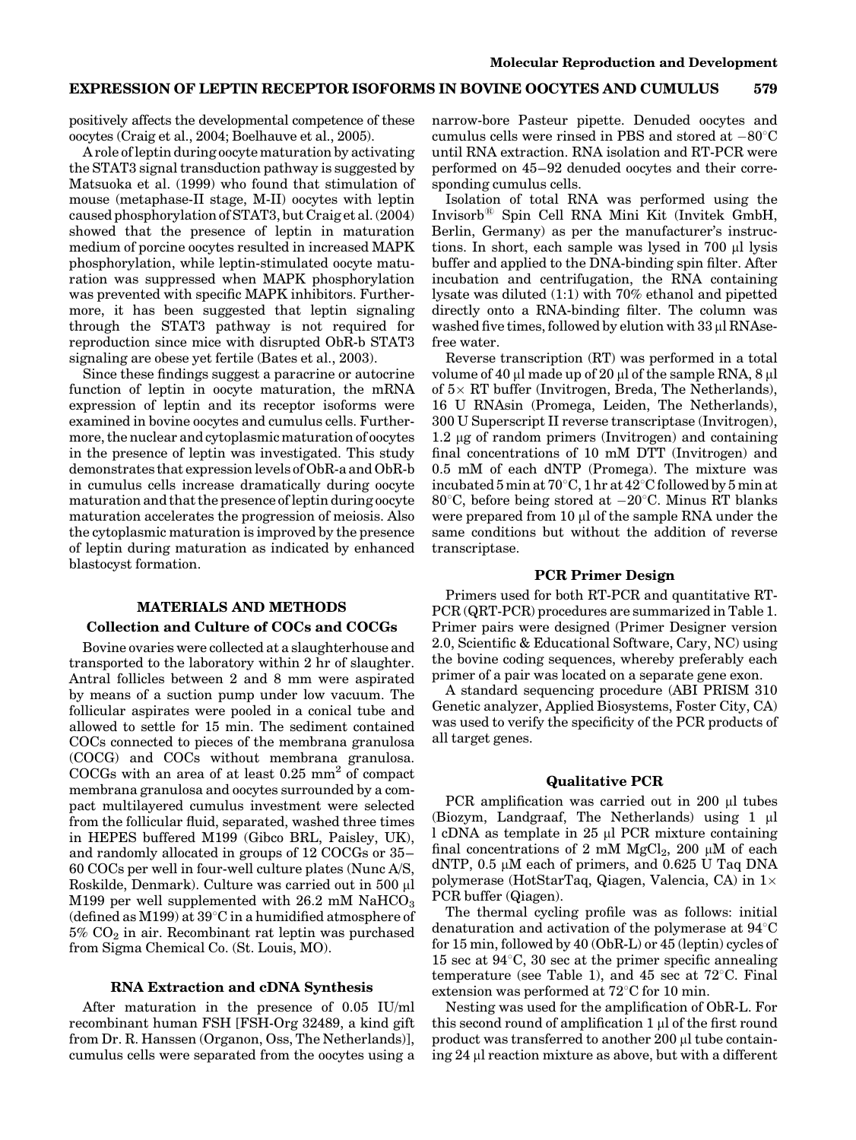positively affects the developmental competence of these oocytes (Craig et al., 2004; Boelhauve et al., 2005).

A role of leptin during oocyte maturation by activating the STAT3 signal transduction pathway is suggested by Matsuoka et al. (1999) who found that stimulation of mouse (metaphase-II stage, M-II) oocytes with leptin caused phosphorylation of STAT3, but Craig et al. (2004) showed that the presence of leptin in maturation medium of porcine oocytes resulted in increased MAPK phosphorylation, while leptin-stimulated oocyte maturation was suppressed when MAPK phosphorylation was prevented with specific MAPK inhibitors. Furthermore, it has been suggested that leptin signaling through the STAT3 pathway is not required for reproduction since mice with disrupted ObR-b STAT3 signaling are obese yet fertile (Bates et al., 2003).

Since these findings suggest a paracrine or autocrine function of leptin in oocyte maturation, the mRNA expression of leptin and its receptor isoforms were examined in bovine oocytes and cumulus cells. Furthermore, the nuclear and cytoplasmic maturation of oocytes in the presence of leptin was investigated. This study demonstrates that expression levels of ObR-a and ObR-b in cumulus cells increase dramatically during oocyte maturation and that the presence of leptin during oocyte maturation accelerates the progression of meiosis. Also the cytoplasmic maturation is improved by the presence of leptin during maturation as indicated by enhanced blastocyst formation.

#### MATERIALS AND METHODS

## Collection and Culture of COCs and COCGs

Bovine ovaries were collected at a slaughterhouse and transported to the laboratory within 2 hr of slaughter. Antral follicles between 2 and 8 mm were aspirated by means of a suction pump under low vacuum. The follicular aspirates were pooled in a conical tube and allowed to settle for 15 min. The sediment contained COCs connected to pieces of the membrana granulosa (COCG) and COCs without membrana granulosa. COCGs with an area of at least 0.25 mm2 of compact membrana granulosa and oocytes surrounded by a compact multilayered cumulus investment were selected from the follicular fluid, separated, washed three times in HEPES buffered M199 (Gibco BRL, Paisley, UK), and randomly allocated in groups of 12 COCGs or 35– 60 COCs per well in four-well culture plates (Nunc A/S, Roskilde, Denmark). Culture was carried out in 500 µl M199 per well supplemented with  $26.2 \text{ mM } \text{NaHCO}_3$ (defined as M199) at  $39^{\circ}$ C in a humidified atmosphere of  $5\%$  CO<sub>2</sub> in air. Recombinant rat leptin was purchased from Sigma Chemical Co. (St. Louis, MO).

#### RNA Extraction and cDNA Synthesis

After maturation in the presence of 0.05 IU/ml recombinant human FSH [FSH-Org 32489, a kind gift from Dr. R. Hanssen (Organon, Oss, The Netherlands)], cumulus cells were separated from the oocytes using a narrow-bore Pasteur pipette. Denuded oocytes and cumulus cells were rinsed in PBS and stored at  $-80^{\circ}$ C until RNA extraction. RNA isolation and RT-PCR were performed on 45–92 denuded oocytes and their corresponding cumulus cells.

Isolation of total RNA was performed using the Invisorb<sup>®</sup> Spin Cell RNA Mini Kit (Invitek GmbH, Berlin, Germany) as per the manufacturer's instructions. In short, each sample was lysed in  $700 \mu l$  lysis buffer and applied to the DNA-binding spin filter. After incubation and centrifugation, the RNA containing lysate was diluted (1:1) with 70% ethanol and pipetted directly onto a RNA-binding filter. The column was washed five times, followed by elution with  $33 \mu$  RNAsefree water.

Reverse transcription (RT) was performed in a total volume of 40  $\mu$ l made up of 20  $\mu$ l of the sample RNA, 8  $\mu$ l of  $5\times$  RT buffer (Invitrogen, Breda, The Netherlands), 16 U RNAsin (Promega, Leiden, The Netherlands), 300 U Superscript II reverse transcriptase (Invitrogen),  $1.2 \mu$ g of random primers (Invitrogen) and containing final concentrations of 10 mM DTT (Invitrogen) and 0.5 mM of each dNTP (Promega). The mixture was incubated 5 min at  $70^{\circ}$ C, 1 hr at  $42^{\circ}$ C followed by 5 min at 80 $^{\circ}$ C, before being stored at  $-20^{\circ}$ C. Minus RT blanks were prepared from  $10 \mu l$  of the sample RNA under the same conditions but without the addition of reverse transcriptase.

#### PCR Primer Design

Primers used for both RT-PCR and quantitative RT-PCR (QRT-PCR) procedures are summarized in Table 1. Primer pairs were designed (Primer Designer version 2.0, Scientific & Educational Software, Cary, NC) using the bovine coding sequences, whereby preferably each primer of a pair was located on a separate gene exon.

A standard sequencing procedure (ABI PRISM 310 Genetic analyzer, Applied Biosystems, Foster City, CA) was used to verify the specificity of the PCR products of all target genes.

#### Qualitative PCR

PCR amplification was carried out in  $200 \mu l$  tubes (Biozym, Landgraaf, The Netherlands) using  $1 \mu l$ l cDNA as template in 25 µl PCR mixture containing final concentrations of 2 mM  $MgCl<sub>2</sub>$ , 200 µM of each dNTP,  $0.5 \mu M$  each of primers, and  $0.625$  U Taq DNA polymerase (HotStarTaq, Qiagen, Valencia, CA) in  $1\times$ PCR buffer (Qiagen).

The thermal cycling profile was as follows: initial denaturation and activation of the polymerase at  $94^{\circ}$ C for 15 min, followed by 40 (ObR-L) or 45 (leptin) cycles of 15 sec at  $94^{\circ}$ C, 30 sec at the primer specific annealing temperature (see Table 1), and 45 sec at  $72^{\circ}$ C. Final extension was performed at  $72^{\circ}$ C for 10 min.

Nesting was used for the amplification of ObR-L. For this second round of amplification  $1 \mu$ l of the first round product was transferred to another  $200 \mu l$  tube containing  $24$  µl reaction mixture as above, but with a different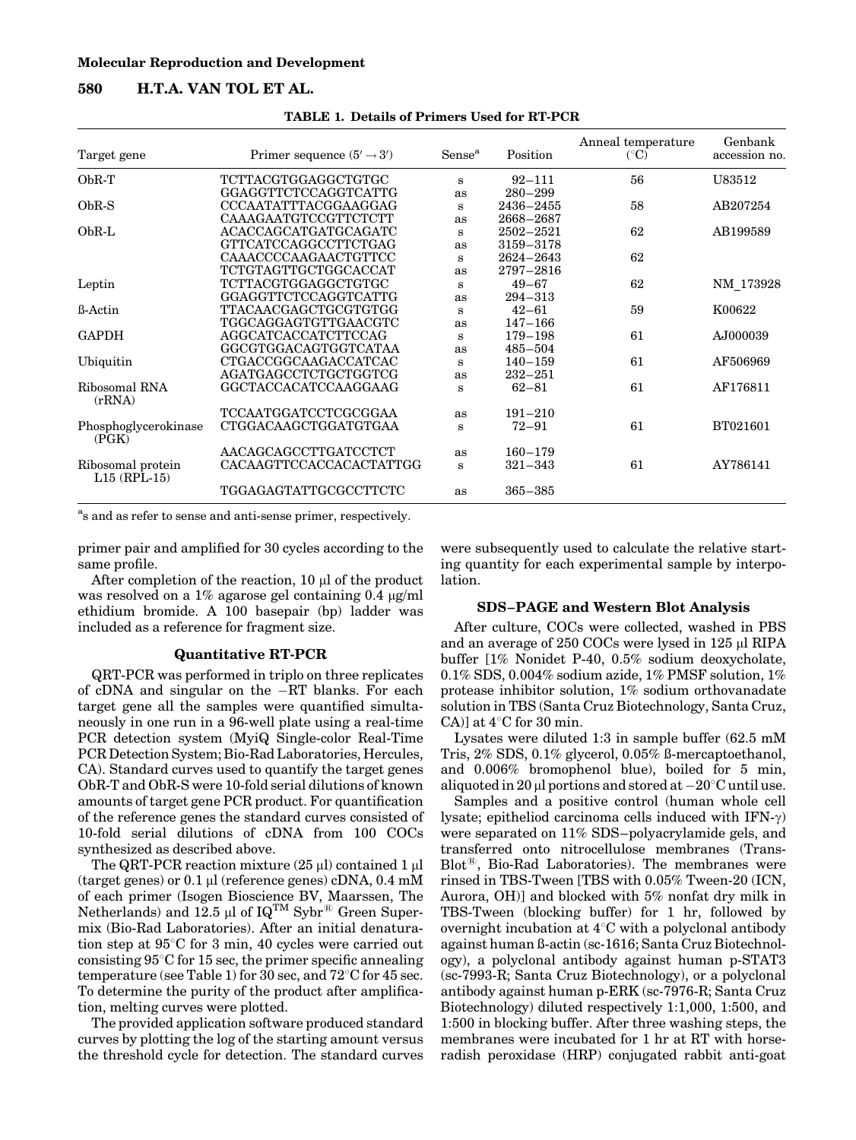## 580 H.T.A. VAN TOL ET AL.

|  | <b>TABLE 1. Details of Primers Used for RT-PCR</b> |  |  |
|--|----------------------------------------------------|--|--|
|--|----------------------------------------------------|--|--|

| Target gene                         | Primer sequence $(5' \rightarrow 3')$ | Sense <sup>a</sup> | Position      | Anneal temperature<br>$({}^{\circ}C)$ | Genbank<br>accession no. |
|-------------------------------------|---------------------------------------|--------------------|---------------|---------------------------------------|--------------------------|
| $ObR-T$                             | <b>TCTTACGTGGAGGCTGTGC</b>            | S                  | $92 - 111$    | 56                                    | U83512                   |
|                                     | GGAGGTTCTCCAGGTCATTG                  | as                 | $280 - 299$   |                                       |                          |
| $ObR-S$                             | CCCAATATTTACGGAAGGAG                  | S                  | 2436-2455     | 58                                    | AB207254                 |
|                                     | CAAAGAATGTCCGTTCTCTT                  | as                 | 2668–2687     |                                       |                          |
| $ObR-L$                             | ACACCAGCATGATGCAGATC                  | s                  | 2502-2521     | 62                                    | AB199589                 |
|                                     | GTTCATCCAGGCCTTCTGAG                  | as                 | 3159-3178     |                                       |                          |
|                                     | CAAACCCCAAGAACTGTTCC                  | S                  | $2624 - 2643$ | 62                                    |                          |
|                                     | <b>TCTGTAGTTGCTGGCACCAT</b>           | as                 | 2797-2816     |                                       |                          |
| Leptin                              | <b>TCTTACGTGGAGGCTGTGC</b>            | S                  | $49 - 67$     | 62                                    | NM_173928                |
|                                     | GGAGGTTCTCCAGGTCATTG                  | as                 | $294 - 313$   |                                       |                          |
| <b>B-Actin</b>                      | <b>TTACAACGAGCTGCGTGTGG</b>           | S                  | $42 - 61$     | 59                                    | K00622                   |
|                                     | TGGCAGGAGTGTTGAACGTC                  | as                 | $147 - 166$   |                                       |                          |
| <b>GAPDH</b>                        | AGGCATCACCATCTTCCAG                   | S                  | 179-198       | 61                                    | AJ000039                 |
|                                     | GGCGTGGACAGTGGTCATAA                  | as                 | $485 - 504$   |                                       |                          |
| Ubiquitin                           | CTGACCGGCAAGACCATCAC                  | S                  | $140 - 159$   | 61                                    | AF506969                 |
|                                     | AGATGAGCCTCTGCTGGTCG                  | as                 | $232 - 251$   |                                       |                          |
| Ribosomal RNA<br>(rRNA)             | GGCTACCACATCCAAGGAAG                  | s                  | $62 - 81$     | 61                                    | AF176811                 |
|                                     | <b>TCCAATGGATCCTCGCGGAA</b>           | as                 | $191 - 210$   |                                       |                          |
| Phosphoglycerokinase<br>(PGK)       | CTGGACAAGCTGGATGTGAA                  | S                  | $72 - 91$     | 61                                    | BT021601                 |
|                                     | AACAGCAGCCTTGATCCTCT                  | as                 | $160 - 179$   |                                       |                          |
| Ribosomal protein<br>$L15$ (RPL-15) | CACAAGTTCCACCACACTATTGG               | S                  | $321 - 343$   | 61                                    | AY786141                 |
|                                     | TGGAGAGTATTGCGCCTTCTC                 | as                 | $365 - 385$   |                                       |                          |

a s and as refer to sense and anti-sense primer, respectively.

primer pair and amplified for 30 cycles according to the same profile.

After completion of the reaction,  $10 \mu l$  of the product was resolved on a  $1\%$  agarose gel containing 0.4  $\mu$ g/ml ethidium bromide. A 100 basepair (bp) ladder was included as a reference for fragment size.

#### Quantitative RT-PCR

QRT-PCR was performed in triplo on three replicates of cDNA and singular on the  $-RT$  blanks. For each target gene all the samples were quantified simultaneously in one run in a 96-well plate using a real-time PCR detection system (MyiQ Single-color Real-Time PCR Detection System; Bio-Rad Laboratories, Hercules, CA). Standard curves used to quantify the target genes ObR-T and ObR-S were 10-fold serial dilutions of known amounts of target gene PCR product. For quantification of the reference genes the standard curves consisted of 10-fold serial dilutions of cDNA from 100 COCs synthesized as described above.

The QRT-PCR reaction mixture  $(25 \text{ µl})$  contained 1  $\text{µ}$ (target genes) or  $0.1 \mu$ l (reference genes) cDNA,  $0.4 \text{ mM}$ of each primer (Isogen Bioscience BV, Maarssen, The Netherlands) and  $12.5 \mu l$  of  $IQ^{TM}$  Sybr $^{\circledR}$  Green Supermix (Bio-Rad Laboratories). After an initial denaturation step at  $95^{\circ}$ C for 3 min, 40 cycles were carried out consisting  $95^{\circ}$ C for 15 sec, the primer specific annealing temperature (see Table 1) for 30 sec, and  $72^{\circ}$ C for 45 sec. To determine the purity of the product after amplification, melting curves were plotted.

The provided application software produced standard curves by plotting the log of the starting amount versus the threshold cycle for detection. The standard curves

were subsequently used to calculate the relative starting quantity for each experimental sample by interpolation.

#### SDS–PAGE and Western Blot Analysis

After culture, COCs were collected, washed in PBS and an average of 250 COCs were lysed in 125 µl RIPA buffer [1% Nonidet P-40, 0.5% sodium deoxycholate, 0.1% SDS, 0.004% sodium azide, 1% PMSF solution, 1% protease inhibitor solution, 1% sodium orthovanadate solution in TBS (Santa Cruz Biotechnology, Santa Cruz, CA)] at  $4^{\circ}$ C for 30 min.

Lysates were diluted 1:3 in sample buffer (62.5 mM Tris, 2% SDS, 0.1% glycerol, 0.05% ß-mercaptoethanol, and 0.006% bromophenol blue), boiled for 5 min, aliquoted in 20  $\mu$ l portions and stored at  $-20^{\circ}$ C until use.

Samples and a positive control (human whole cell lysate; epitheliod carcinoma cells induced with  $IFN-\gamma$ ) were separated on 11% SDS–polyacrylamide gels, and transferred onto nitrocellulose membranes (Trans- $Blot^{(8)}$ , Bio-Rad Laboratories). The membranes were rinsed in TBS-Tween [TBS with 0.05% Tween-20 (ICN, Aurora, OH)] and blocked with 5% nonfat dry milk in TBS-Tween (blocking buffer) for 1 hr, followed by overnight incubation at  $4^{\circ}$ C with a polyclonal antibody against human ß-actin (sc-1616; Santa Cruz Biotechnology), a polyclonal antibody against human p-STAT3 (sc-7993-R; Santa Cruz Biotechnology), or a polyclonal antibody against human p-ERK (sc-7976-R; Santa Cruz Biotechnology) diluted respectively 1:1,000, 1:500, and 1:500 in blocking buffer. After three washing steps, the membranes were incubated for 1 hr at RT with horseradish peroxidase (HRP) conjugated rabbit anti-goat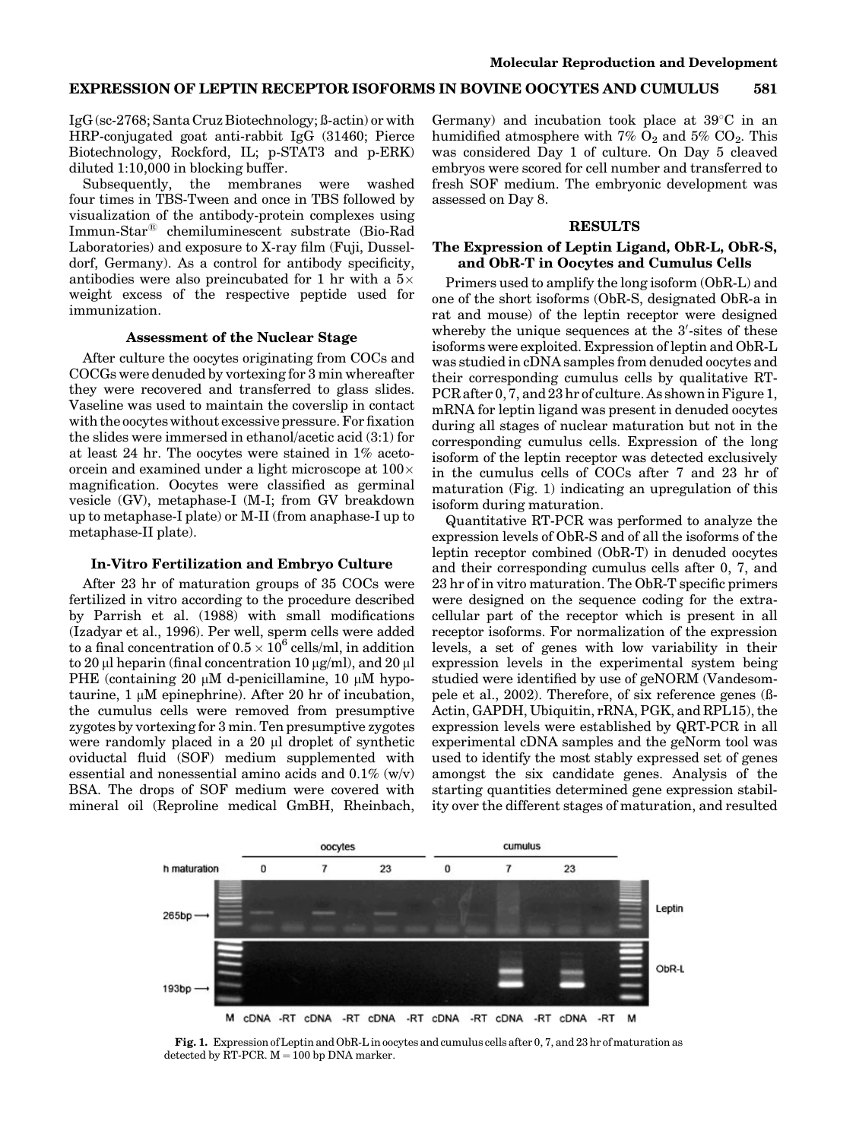IgG (sc-2768; Santa Cruz Biotechnology; ß-actin) or with HRP-conjugated goat anti-rabbit IgG (31460; Pierce Biotechnology, Rockford, IL; p-STAT3 and p-ERK) diluted 1:10,000 in blocking buffer.

Subsequently, the membranes were washed four times in TBS-Tween and once in TBS followed by visualization of the antibody-protein complexes using Immun-Star<sup>®</sup> chemiluminescent substrate (Bio-Rad Laboratories) and exposure to X-ray film (Fuji, Dusseldorf, Germany). As a control for antibody specificity, antibodies were also preincubated for 1 hr with a  $5\times$ weight excess of the respective peptide used for immunization.

#### Assessment of the Nuclear Stage

After culture the oocytes originating from COCs and COCGs were denuded by vortexing for 3 min whereafter they were recovered and transferred to glass slides. Vaseline was used to maintain the coverslip in contact with the oocytes without excessive pressure. For fixation the slides were immersed in ethanol/acetic acid (3:1) for at least 24 hr. The oocytes were stained in 1% acetoorcein and examined under a light microscope at  $100\times$ magnification. Oocytes were classified as germinal vesicle (GV), metaphase-I (M-I; from GV breakdown up to metaphase-I plate) or M-II (from anaphase-I up to metaphase-II plate).

#### In-Vitro Fertilization and Embryo Culture

After 23 hr of maturation groups of 35 COCs were fertilized in vitro according to the procedure described by Parrish et al. (1988) with small modifications (Izadyar et al., 1996). Per well, sperm cells were added to a final concentration of 0.5  $\times$  10<sup>6</sup> cells/ml, in addition to 20  $\mu$ l heparin (final concentration 10  $\mu$ g/ml), and 20  $\mu$ l PHE (containing 20  $\mu$ M d-penicillamine, 10  $\mu$ M hypotaurine,  $1 \mu M$  epinephrine). After 20 hr of incubation, the cumulus cells were removed from presumptive zygotes by vortexing for 3 min. Ten presumptive zygotes were randomly placed in a  $20 \mu l$  droplet of synthetic oviductal fluid (SOF) medium supplemented with essential and nonessential amino acids and  $0.1\%$  (w/v) BSA. The drops of SOF medium were covered with mineral oil (Reproline medical GmBH, Rheinbach, Germany) and incubation took place at  $39^{\circ}$ C in an humidified atmosphere with 7%  $O_2$  and 5%  $CO_2$ . This was considered Day 1 of culture. On Day 5 cleaved embryos were scored for cell number and transferred to fresh SOF medium. The embryonic development was assessed on Day 8.

#### RESULTS

## The Expression of Leptin Ligand, ObR-L, ObR-S, and ObR-T in Oocytes and Cumulus Cells

Primers used to amplify the long isoform (ObR-L) and one of the short isoforms (ObR-S, designated ObR-a in rat and mouse) of the leptin receptor were designed whereby the unique sequences at the 3'-sites of these isoforms were exploited. Expression of leptin and ObR-L was studied in cDNA samples from denuded oocytes and their corresponding cumulus cells by qualitative RT-PCR after 0, 7, and 23 hr of culture. As shown in Figure 1, mRNA for leptin ligand was present in denuded oocytes during all stages of nuclear maturation but not in the corresponding cumulus cells. Expression of the long isoform of the leptin receptor was detected exclusively in the cumulus cells of COCs after 7 and 23 hr of maturation (Fig. 1) indicating an upregulation of this isoform during maturation.

Quantitative RT-PCR was performed to analyze the expression levels of ObR-S and of all the isoforms of the leptin receptor combined (ObR-T) in denuded oocytes and their corresponding cumulus cells after 0, 7, and 23 hr of in vitro maturation. The ObR-T specific primers were designed on the sequence coding for the extracellular part of the receptor which is present in all receptor isoforms. For normalization of the expression levels, a set of genes with low variability in their expression levels in the experimental system being studied were identified by use of geNORM (Vandesompele et al., 2002). Therefore, of six reference genes (ß-Actin, GAPDH, Ubiquitin, rRNA, PGK, and RPL15), the expression levels were established by QRT-PCR in all experimental cDNA samples and the geNorm tool was used to identify the most stably expressed set of genes amongst the six candidate genes. Analysis of the starting quantities determined gene expression stability over the different stages of maturation, and resulted



Fig. 1. Expression of Leptin and ObR-L in oocytes and cumulus cells after 0, 7, and 23 hr of maturation as detected by RT-PCR.  $M = 100$  bp DNA marker.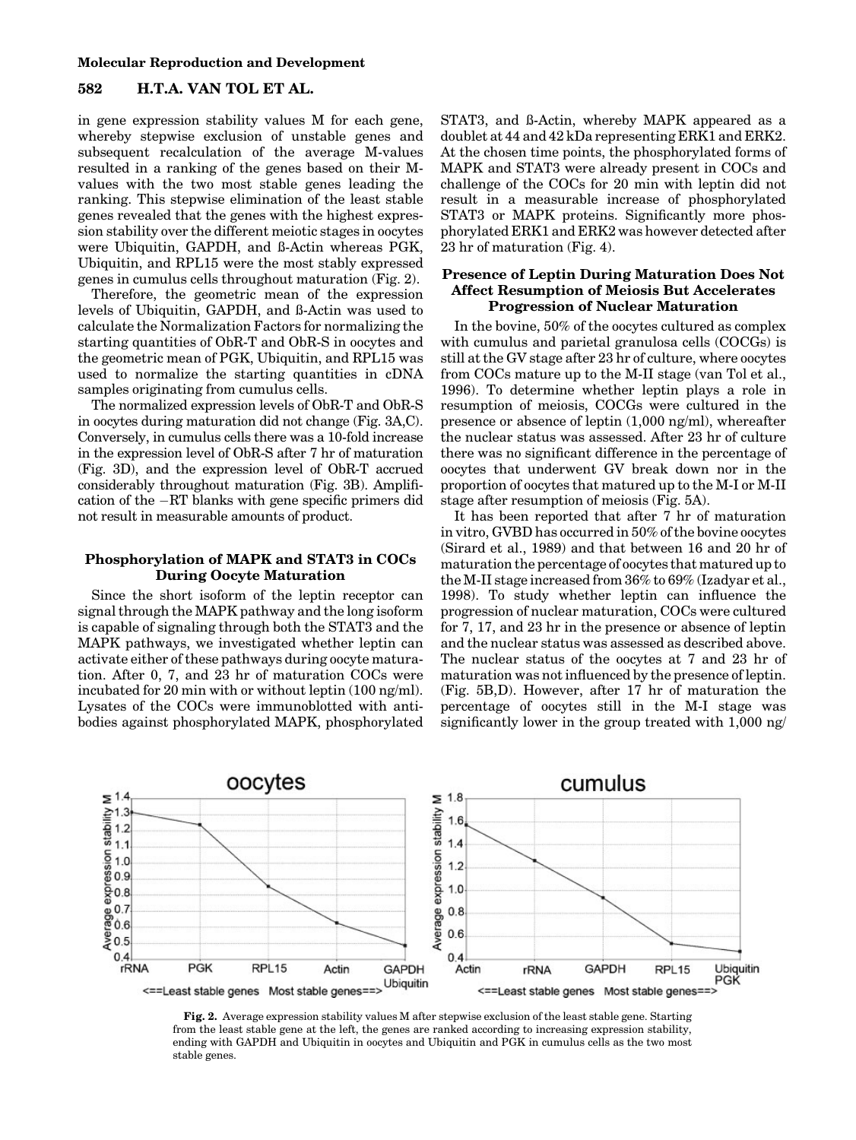#### Molecular Reproduction and Development

# 582 H.T.A. VAN TOL ET AL.

in gene expression stability values M for each gene, whereby stepwise exclusion of unstable genes and subsequent recalculation of the average M-values resulted in a ranking of the genes based on their Mvalues with the two most stable genes leading the ranking. This stepwise elimination of the least stable genes revealed that the genes with the highest expression stability over the different meiotic stages in oocytes were Ubiquitin, GAPDH, and ß-Actin whereas PGK, Ubiquitin, and RPL15 were the most stably expressed genes in cumulus cells throughout maturation (Fig. 2).

Therefore, the geometric mean of the expression levels of Ubiquitin, GAPDH, and ß-Actin was used to calculate the Normalization Factors for normalizing the starting quantities of ObR-T and ObR-S in oocytes and the geometric mean of PGK, Ubiquitin, and RPL15 was used to normalize the starting quantities in cDNA samples originating from cumulus cells.

The normalized expression levels of ObR-T and ObR-S in oocytes during maturation did not change (Fig. 3A,C). Conversely, in cumulus cells there was a 10-fold increase in the expression level of ObR-S after 7 hr of maturation (Fig. 3D), and the expression level of ObR-T accrued considerably throughout maturation (Fig. 3B). Amplification of the  $-RT$  blanks with gene specific primers did not result in measurable amounts of product.

## Phosphorylation of MAPK and STAT3 in COCs During Oocyte Maturation

Since the short isoform of the leptin receptor can signal through the MAPK pathway and the long isoform is capable of signaling through both the STAT3 and the MAPK pathways, we investigated whether leptin can activate either of these pathways during oocyte maturation. After 0, 7, and 23 hr of maturation COCs were incubated for 20 min with or without leptin (100 ng/ml). Lysates of the COCs were immunoblotted with antibodies against phosphorylated MAPK, phosphorylated

STAT3, and ß-Actin, whereby MAPK appeared as a doublet at 44 and 42 kDa representing ERK1 and ERK2. At the chosen time points, the phosphorylated forms of MAPK and STAT3 were already present in COCs and challenge of the COCs for 20 min with leptin did not result in a measurable increase of phosphorylated STAT3 or MAPK proteins. Significantly more phosphorylated ERK1 and ERK2 was however detected after 23 hr of maturation (Fig. 4).

## Presence of Leptin During Maturation Does Not Affect Resumption of Meiosis But Accelerates Progression of Nuclear Maturation

In the bovine, 50% of the oocytes cultured as complex with cumulus and parietal granulosa cells (COCGs) is still at the GV stage after 23 hr of culture, where oocytes from COCs mature up to the M-II stage (van Tol et al., 1996). To determine whether leptin plays a role in resumption of meiosis, COCGs were cultured in the presence or absence of leptin (1,000 ng/ml), whereafter the nuclear status was assessed. After 23 hr of culture there was no significant difference in the percentage of oocytes that underwent GV break down nor in the proportion of oocytes that matured up to the M-I or M-II stage after resumption of meiosis (Fig. 5A).

It has been reported that after 7 hr of maturation in vitro, GVBD has occurred in 50% of the bovine oocytes (Sirard et al., 1989) and that between 16 and 20 hr of maturation the percentage of oocytes that matured up to the M-II stage increased from 36% to 69% (Izadyar et al., 1998). To study whether leptin can influence the progression of nuclear maturation, COCs were cultured for 7, 17, and 23 hr in the presence or absence of leptin and the nuclear status was assessed as described above. The nuclear status of the oocytes at 7 and 23 hr of maturation was not influenced by the presence of leptin. (Fig. 5B,D). However, after 17 hr of maturation the percentage of oocytes still in the M-I stage was significantly lower in the group treated with 1,000 ng/



Fig. 2. Average expression stability values M after stepwise exclusion of the least stable gene. Starting from the least stable gene at the left, the genes are ranked according to increasing expression stability, ending with GAPDH and Ubiquitin in oocytes and Ubiquitin and PGK in cumulus cells as the two most stable genes.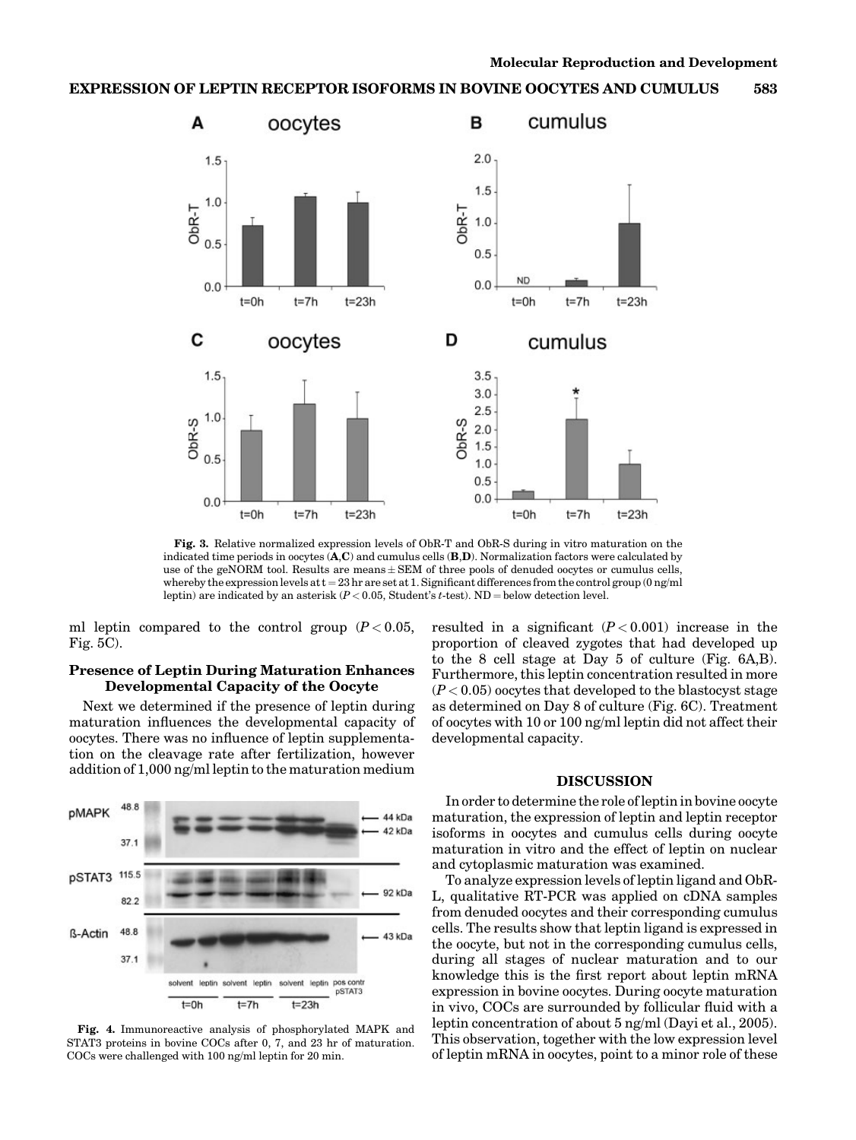

Fig. 3. Relative normalized expression levels of ObR-T and ObR-S during in vitro maturation on the indicated time periods in oocytes  $(A, C)$  and cumulus cells  $(B, D)$ . Normalization factors were calculated by use of the geNORM tool. Results are means  $\pm$  SEM of three pools of denuded oocytes or cumulus cells, whereby the expression levels at  $t = 23$  hr are set at 1. Significant differences from the control group (0 ng/ml leptin) are indicated by an asterisk ( $P < 0.05$ , Student's t-test). ND = below detection level.

ml leptin compared to the control group  $(P < 0.05$ , Fig. 5C).

## Presence of Leptin During Maturation Enhances Developmental Capacity of the Oocyte

Next we determined if the presence of leptin during maturation influences the developmental capacity of oocytes. There was no influence of leptin supplementation on the cleavage rate after fertilization, however addition of 1,000 ng/ml leptin to the maturation medium



Fig. 4. Immunoreactive analysis of phosphorylated MAPK and STAT3 proteins in bovine COCs after 0, 7, and 23 hr of maturation. COCs were challenged with 100 ng/ml leptin for 20 min.

resulted in a significant  $(P<0.001)$  increase in the proportion of cleaved zygotes that had developed up to the 8 cell stage at Day 5 of culture (Fig. 6A,B). Furthermore, this leptin concentration resulted in more  $(P<0.05)$  oocytes that developed to the blastocyst stage as determined on Day 8 of culture (Fig. 6C). Treatment of oocytes with 10 or 100 ng/ml leptin did not affect their developmental capacity.

#### DISCUSSION

In order to determine the role of leptin in bovine oocyte maturation, the expression of leptin and leptin receptor isoforms in oocytes and cumulus cells during oocyte maturation in vitro and the effect of leptin on nuclear and cytoplasmic maturation was examined.

To analyze expression levels of leptin ligand and ObR-L, qualitative RT-PCR was applied on cDNA samples from denuded oocytes and their corresponding cumulus cells. The results show that leptin ligand is expressed in the oocyte, but not in the corresponding cumulus cells, during all stages of nuclear maturation and to our knowledge this is the first report about leptin mRNA expression in bovine oocytes. During oocyte maturation in vivo, COCs are surrounded by follicular fluid with a leptin concentration of about 5 ng/ml (Dayi et al., 2005). This observation, together with the low expression level of leptin mRNA in oocytes, point to a minor role of these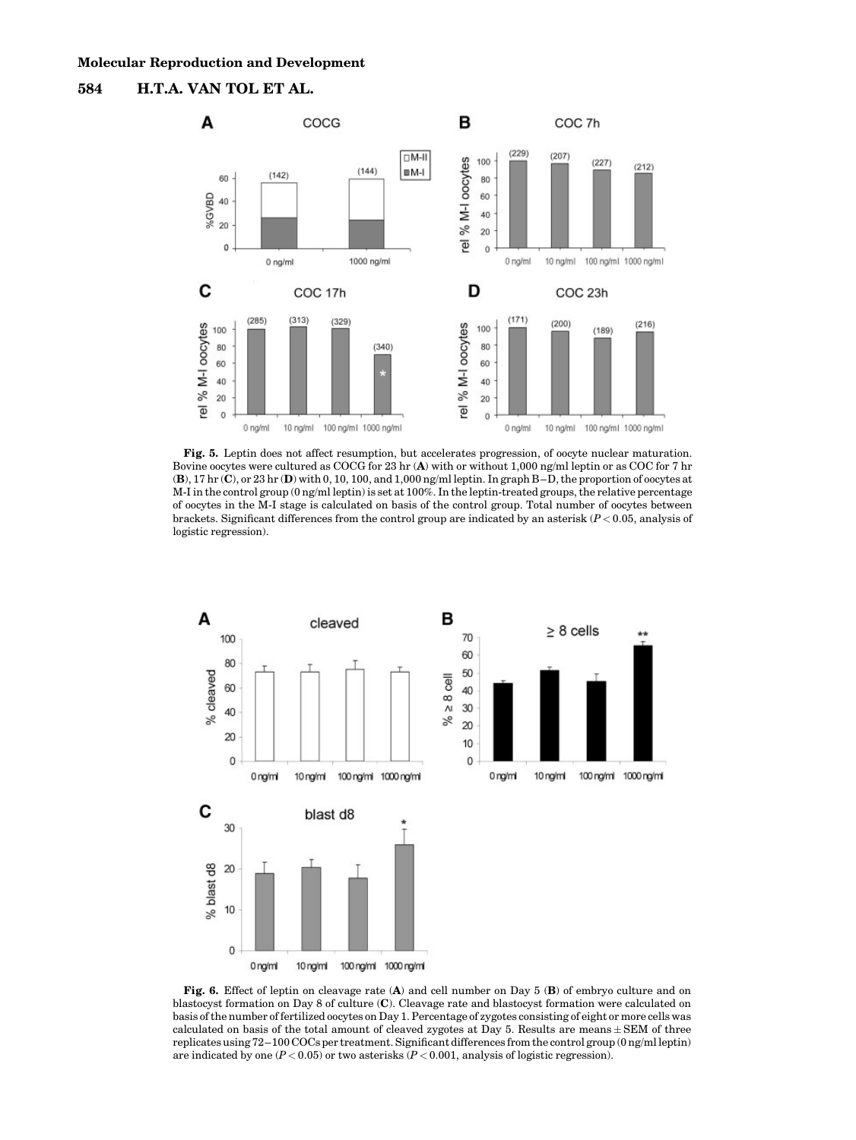



Fig. 5. Leptin does not affect resumption, but accelerates progression, of oocyte nuclear maturation. Bovine oocytes were cultured as COCG for 23 hr (A) with or without 1,000 ng/ml leptin or as COC for 7 hr (B), 17 hr (C), or 23 hr (D) with 0, 10, 100, and 1,000 ng/ml leptin. In graph B–D, the proportion of oocytes at M-I in the control group (0 ng/ml leptin) is set at 100%. In the leptin-treated groups, the relative percentage of oocytes in the M-I stage is calculated on basis of the control group. Total number of oocytes between brackets. Significant differences from the control group are indicated by an asterisk ( $P < 0.05$ , analysis of logistic regression).



Fig. 6. Effect of leptin on cleavage rate (A) and cell number on Day 5 (B) of embryo culture and on blastocyst formation on Day 8 of culture (C). Cleavage rate and blastocyst formation were calculated on basis of the number of fertilized oocytes on Day 1. Percentage of zygotes consisting of eight or more cells was calculated on basis of the total amount of cleaved zygotes at Day 5. Results are means  $\pm$  SEM of three replicates using 72–100 COCs per treatment. Significant differences from the control group (0 ng/ml leptin) are indicated by one  $(P < 0.05)$  or two asterisks  $(P < 0.001$ , analysis of logistic regression).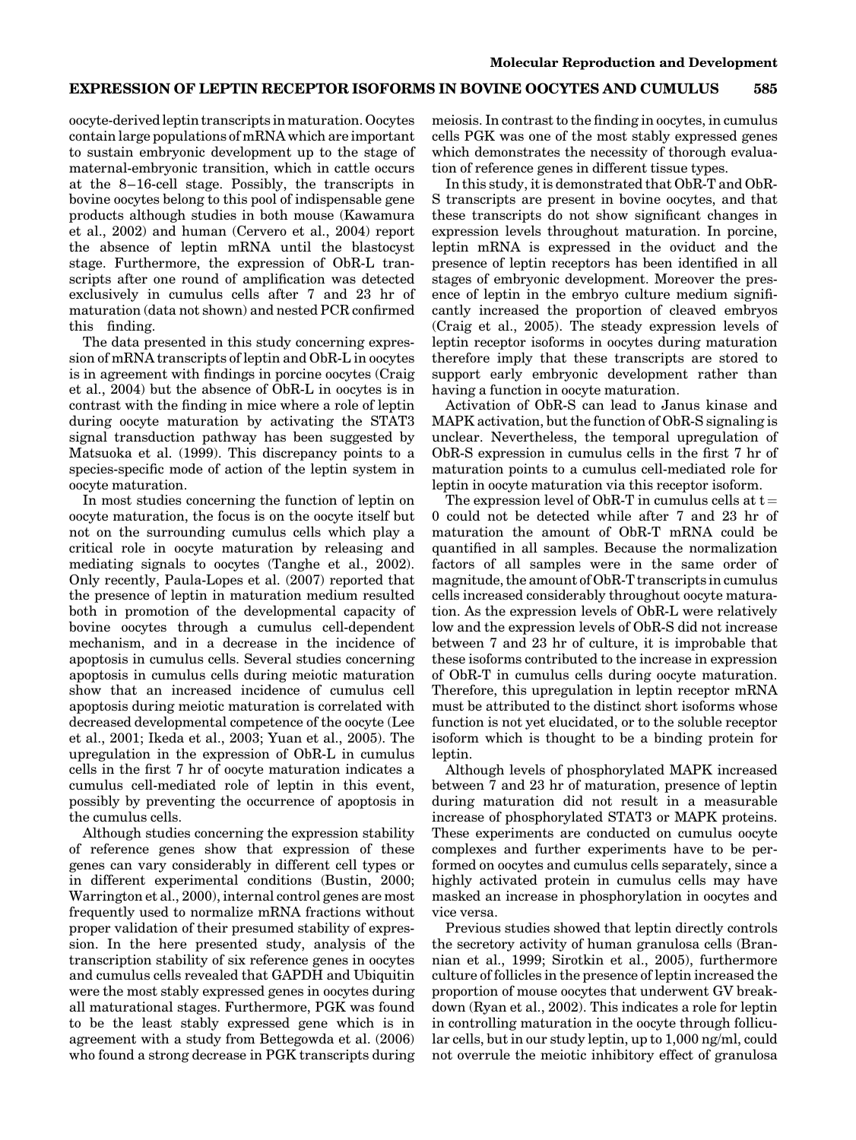oocyte-derived leptin transcripts in maturation. Oocytes contain large populations of mRNA which are important to sustain embryonic development up to the stage of maternal-embryonic transition, which in cattle occurs at the 8–16-cell stage. Possibly, the transcripts in bovine oocytes belong to this pool of indispensable gene products although studies in both mouse (Kawamura et al., 2002) and human (Cervero et al., 2004) report the absence of leptin mRNA until the blastocyst stage. Furthermore, the expression of ObR-L transcripts after one round of amplification was detected exclusively in cumulus cells after 7 and 23 hr of maturation (data not shown) and nested PCR confirmed this finding.

The data presented in this study concerning expression of mRNA transcripts of leptin and ObR-L in oocytes is in agreement with findings in porcine oocytes (Craig et al., 2004) but the absence of ObR-L in oocytes is in contrast with the finding in mice where a role of leptin during oocyte maturation by activating the STAT3 signal transduction pathway has been suggested by Matsuoka et al. (1999). This discrepancy points to a species-specific mode of action of the leptin system in oocyte maturation.

In most studies concerning the function of leptin on oocyte maturation, the focus is on the oocyte itself but not on the surrounding cumulus cells which play a critical role in oocyte maturation by releasing and mediating signals to oocytes (Tanghe et al., 2002). Only recently, Paula-Lopes et al. (2007) reported that the presence of leptin in maturation medium resulted both in promotion of the developmental capacity of bovine oocytes through a cumulus cell-dependent mechanism, and in a decrease in the incidence of apoptosis in cumulus cells. Several studies concerning apoptosis in cumulus cells during meiotic maturation show that an increased incidence of cumulus cell apoptosis during meiotic maturation is correlated with decreased developmental competence of the oocyte (Lee et al., 2001; Ikeda et al., 2003; Yuan et al., 2005). The upregulation in the expression of ObR-L in cumulus cells in the first 7 hr of oocyte maturation indicates a cumulus cell-mediated role of leptin in this event, possibly by preventing the occurrence of apoptosis in the cumulus cells.

Although studies concerning the expression stability of reference genes show that expression of these genes can vary considerably in different cell types or in different experimental conditions (Bustin, 2000; Warrington et al., 2000), internal control genes are most frequently used to normalize mRNA fractions without proper validation of their presumed stability of expression. In the here presented study, analysis of the transcription stability of six reference genes in oocytes and cumulus cells revealed that GAPDH and Ubiquitin were the most stably expressed genes in oocytes during all maturational stages. Furthermore, PGK was found to be the least stably expressed gene which is in agreement with a study from Bettegowda et al. (2006) who found a strong decrease in PGK transcripts during

meiosis. In contrast to the finding in oocytes, in cumulus cells PGK was one of the most stably expressed genes which demonstrates the necessity of thorough evaluation of reference genes in different tissue types.

In this study, it is demonstrated that ObR-T and ObR-S transcripts are present in bovine oocytes, and that these transcripts do not show significant changes in expression levels throughout maturation. In porcine, leptin mRNA is expressed in the oviduct and the presence of leptin receptors has been identified in all stages of embryonic development. Moreover the presence of leptin in the embryo culture medium significantly increased the proportion of cleaved embryos (Craig et al., 2005). The steady expression levels of leptin receptor isoforms in oocytes during maturation therefore imply that these transcripts are stored to support early embryonic development rather than having a function in oocyte maturation.

Activation of ObR-S can lead to Janus kinase and MAPK activation, but the function of ObR-S signaling is unclear. Nevertheless, the temporal upregulation of ObR-S expression in cumulus cells in the first 7 hr of maturation points to a cumulus cell-mediated role for leptin in oocyte maturation via this receptor isoform.

The expression level of ObR-T in cumulus cells at  $t =$ 0 could not be detected while after 7 and 23 hr of maturation the amount of ObR-T mRNA could be quantified in all samples. Because the normalization factors of all samples were in the same order of magnitude, the amount of ObR-T transcripts in cumulus cells increased considerably throughout oocyte maturation. As the expression levels of ObR-L were relatively low and the expression levels of ObR-S did not increase between 7 and 23 hr of culture, it is improbable that these isoforms contributed to the increase in expression of ObR-T in cumulus cells during oocyte maturation. Therefore, this upregulation in leptin receptor mRNA must be attributed to the distinct short isoforms whose function is not yet elucidated, or to the soluble receptor isoform which is thought to be a binding protein for leptin.

Although levels of phosphorylated MAPK increased between 7 and 23 hr of maturation, presence of leptin during maturation did not result in a measurable increase of phosphorylated STAT3 or MAPK proteins. These experiments are conducted on cumulus oocyte complexes and further experiments have to be performed on oocytes and cumulus cells separately, since a highly activated protein in cumulus cells may have masked an increase in phosphorylation in oocytes and vice versa.

Previous studies showed that leptin directly controls the secretory activity of human granulosa cells (Brannian et al., 1999; Sirotkin et al., 2005), furthermore culture of follicles in the presence of leptin increased the proportion of mouse oocytes that underwent GV breakdown (Ryan et al., 2002). This indicates a role for leptin in controlling maturation in the oocyte through follicular cells, but in our study leptin, up to 1,000 ng/ml, could not overrule the meiotic inhibitory effect of granulosa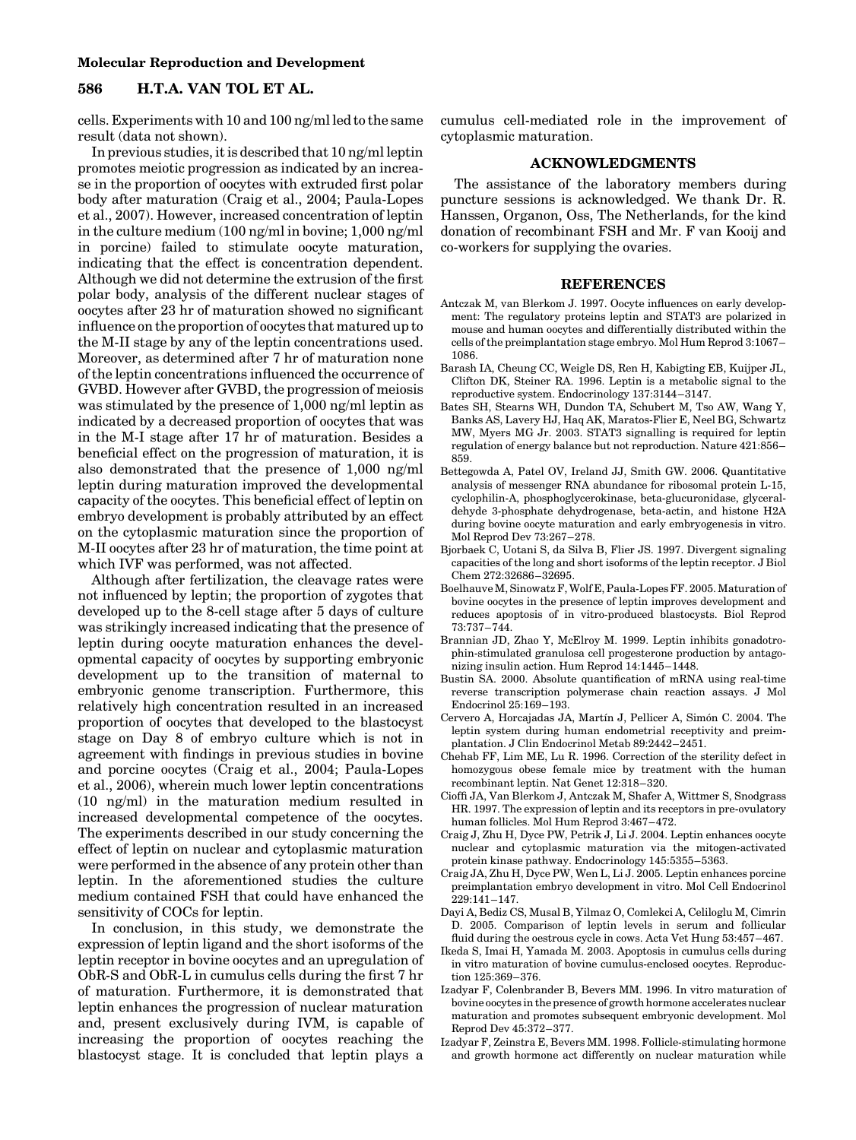#### Molecular Reproduction and Development

# 586 H.T.A. VAN TOL ET AL.

cells. Experiments with 10 and 100 ng/ml led to the same result (data not shown).

In previous studies, it is described that 10 ng/ml leptin promotes meiotic progression as indicated by an increase in the proportion of oocytes with extruded first polar body after maturation (Craig et al., 2004; Paula-Lopes et al., 2007). However, increased concentration of leptin in the culture medium (100 ng/ml in bovine; 1,000 ng/ml in porcine) failed to stimulate oocyte maturation, indicating that the effect is concentration dependent. Although we did not determine the extrusion of the first polar body, analysis of the different nuclear stages of oocytes after 23 hr of maturation showed no significant influence on the proportion of oocytes that matured up to the M-II stage by any of the leptin concentrations used. Moreover, as determined after 7 hr of maturation none of the leptin concentrations influenced the occurrence of GVBD. However after GVBD, the progression of meiosis was stimulated by the presence of 1,000 ng/ml leptin as indicated by a decreased proportion of oocytes that was in the M-I stage after 17 hr of maturation. Besides a beneficial effect on the progression of maturation, it is also demonstrated that the presence of 1,000 ng/ml leptin during maturation improved the developmental capacity of the oocytes. This beneficial effect of leptin on embryo development is probably attributed by an effect on the cytoplasmic maturation since the proportion of M-II oocytes after 23 hr of maturation, the time point at which IVF was performed, was not affected.

Although after fertilization, the cleavage rates were not influenced by leptin; the proportion of zygotes that developed up to the 8-cell stage after 5 days of culture was strikingly increased indicating that the presence of leptin during oocyte maturation enhances the developmental capacity of oocytes by supporting embryonic development up to the transition of maternal to embryonic genome transcription. Furthermore, this relatively high concentration resulted in an increased proportion of oocytes that developed to the blastocyst stage on Day 8 of embryo culture which is not in agreement with findings in previous studies in bovine and porcine oocytes (Craig et al., 2004; Paula-Lopes et al., 2006), wherein much lower leptin concentrations (10 ng/ml) in the maturation medium resulted in increased developmental competence of the oocytes. The experiments described in our study concerning the effect of leptin on nuclear and cytoplasmic maturation were performed in the absence of any protein other than leptin. In the aforementioned studies the culture medium contained FSH that could have enhanced the sensitivity of COCs for leptin.

In conclusion, in this study, we demonstrate the expression of leptin ligand and the short isoforms of the leptin receptor in bovine oocytes and an upregulation of ObR-S and ObR-L in cumulus cells during the first 7 hr of maturation. Furthermore, it is demonstrated that leptin enhances the progression of nuclear maturation and, present exclusively during IVM, is capable of increasing the proportion of oocytes reaching the blastocyst stage. It is concluded that leptin plays a cumulus cell-mediated role in the improvement of cytoplasmic maturation.

### ACKNOWLEDGMENTS

The assistance of the laboratory members during puncture sessions is acknowledged. We thank Dr. R. Hanssen, Organon, Oss, The Netherlands, for the kind donation of recombinant FSH and Mr. F van Kooij and co-workers for supplying the ovaries.

## REFERENCES

- Antczak M, van Blerkom J. 1997. Oocyte influences on early development: The regulatory proteins leptin and STAT3 are polarized in mouse and human oocytes and differentially distributed within the cells of the preimplantation stage embryo. Mol Hum Reprod 3:1067– 1086.
- Barash IA, Cheung CC, Weigle DS, Ren H, Kabigting EB, Kuijper JL, Clifton DK, Steiner RA. 1996. Leptin is a metabolic signal to the reproductive system. Endocrinology 137:3144–3147.
- Bates SH, Stearns WH, Dundon TA, Schubert M, Tso AW, Wang Y, Banks AS, Lavery HJ, Haq AK, Maratos-Flier E, Neel BG, Schwartz MW, Myers MG Jr. 2003. STAT3 signalling is required for leptin regulation of energy balance but not reproduction. Nature 421:856– 859.
- Bettegowda A, Patel OV, Ireland JJ, Smith GW. 2006. Quantitative analysis of messenger RNA abundance for ribosomal protein L-15, cyclophilin-A, phosphoglycerokinase, beta-glucuronidase, glyceraldehyde 3-phosphate dehydrogenase, beta-actin, and histone H2A during bovine oocyte maturation and early embryogenesis in vitro. Mol Reprod Dev 73:267–278.
- Bjorbaek C, Uotani S, da Silva B, Flier JS. 1997. Divergent signaling capacities of the long and short isoforms of the leptin receptor. J Biol Chem 272:32686–32695.
- Boelhauve M, Sinowatz F,Wolf E, Paula-Lopes FF. 2005. Maturation of bovine oocytes in the presence of leptin improves development and reduces apoptosis of in vitro-produced blastocysts. Biol Reprod 73:737–744.
- Brannian JD, Zhao Y, McElroy M. 1999. Leptin inhibits gonadotrophin-stimulated granulosa cell progesterone production by antagonizing insulin action. Hum Reprod 14:1445–1448.
- Bustin SA. 2000. Absolute quantification of mRNA using real-time reverse transcription polymerase chain reaction assays. J Mol Endocrinol 25:169–193.
- Cervero A, Horcajadas JA, Martín J, Pellicer A, Simón C. 2004. The leptin system during human endometrial receptivity and preimplantation. J Clin Endocrinol Metab 89:2442–2451.
- Chehab FF, Lim ME, Lu R. 1996. Correction of the sterility defect in homozygous obese female mice by treatment with the human recombinant leptin. Nat Genet 12:318–320.
- Cioffi JA, Van Blerkom J, Antczak M, Shafer A, Wittmer S, Snodgrass HR. 1997. The expression of leptin and its receptors in pre-ovulatory human follicles. Mol Hum Reprod 3:467–472.
- Craig J, Zhu H, Dyce PW, Petrik J, Li J. 2004. Leptin enhances oocyte nuclear and cytoplasmic maturation via the mitogen-activated protein kinase pathway. Endocrinology 145:5355–5363.
- Craig JA, Zhu H, Dyce PW, Wen L, Li J. 2005. Leptin enhances porcine preimplantation embryo development in vitro. Mol Cell Endocrinol 229:141–147.
- Dayi A, Bediz CS, Musal B, Yilmaz O, Comlekci A, Celiloglu M, Cimrin D. 2005. Comparison of leptin levels in serum and follicular fluid during the oestrous cycle in cows. Acta Vet Hung 53:457–467.
- Ikeda S, Imai H, Yamada M. 2003. Apoptosis in cumulus cells during in vitro maturation of bovine cumulus-enclosed oocytes. Reproduction 125:369–376.
- Izadyar F, Colenbrander B, Bevers MM. 1996. In vitro maturation of bovine oocytes in the presence of growth hormone accelerates nuclear maturation and promotes subsequent embryonic development. Mol Reprod Dev 45:372–377.
- Izadyar F, Zeinstra E, Bevers MM. 1998. Follicle-stimulating hormone and growth hormone act differently on nuclear maturation while